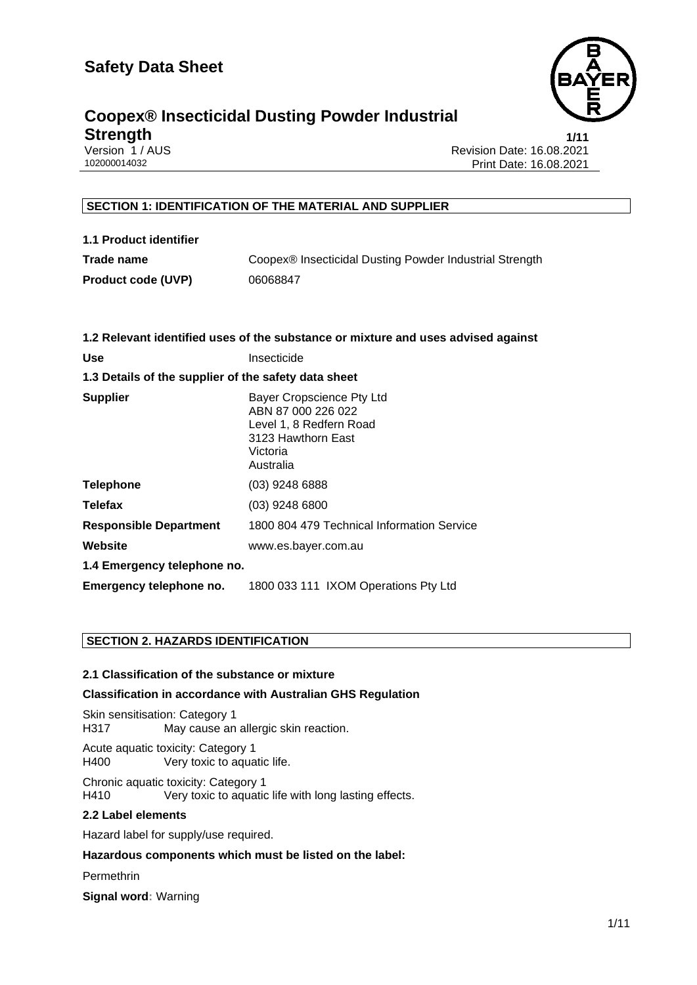

#### **Coopex® Insecticidal Dusting Powder Industrial Strength** 1/11

Version 1 / AUS<br>102000014032 Revision Date: 16.08.2021<br>Print Date: 16.08.2021 Print Date: 16.08.2021

#### **SECTION 1: IDENTIFICATION OF THE MATERIAL AND SUPPLIER**

**1.1 Product identifier Trade name** Coopex® Insecticidal Dusting Powder Industrial Strength **Product code (UVP)** 06068847

| 1.2 Relevant identified uses of the substance or mixture and uses advised against |                                                                                                                           |  |  |
|-----------------------------------------------------------------------------------|---------------------------------------------------------------------------------------------------------------------------|--|--|
| Use                                                                               | Insecticide                                                                                                               |  |  |
| 1.3 Details of the supplier of the safety data sheet                              |                                                                                                                           |  |  |
| <b>Supplier</b>                                                                   | Bayer Cropscience Pty Ltd<br>ABN 87 000 226 022<br>Level 1, 8 Redfern Road<br>3123 Hawthorn East<br>Victoria<br>Australia |  |  |
| <b>Telephone</b>                                                                  | $(03)$ 9248 6888                                                                                                          |  |  |
| <b>Telefax</b>                                                                    | $(03)$ 9248 6800                                                                                                          |  |  |
| <b>Responsible Department</b>                                                     | 1800 804 479 Technical Information Service                                                                                |  |  |
| Website                                                                           | www.es.bayer.com.au                                                                                                       |  |  |
| 1.4 Emergency telephone no.                                                       |                                                                                                                           |  |  |
| Emergency telephone no.                                                           | 1800 033 111 IXOM Operations Pty Ltd                                                                                      |  |  |

#### **SECTION 2. HAZARDS IDENTIFICATION**

#### **2.1 Classification of the substance or mixture**

#### **Classification in accordance with Australian GHS Regulation**

Skin sensitisation: Category 1 H317 May cause an allergic skin reaction.

Acute aquatic toxicity: Category 1 H400 Very toxic to aquatic life.

Chronic aquatic toxicity: Category 1 H410 Very toxic to aquatic life with long lasting effects.

#### **2.2 Label elements**

Hazard label for supply/use required.

**Hazardous components which must be listed on the label:**

**Permethrin** 

**Signal word:** Warning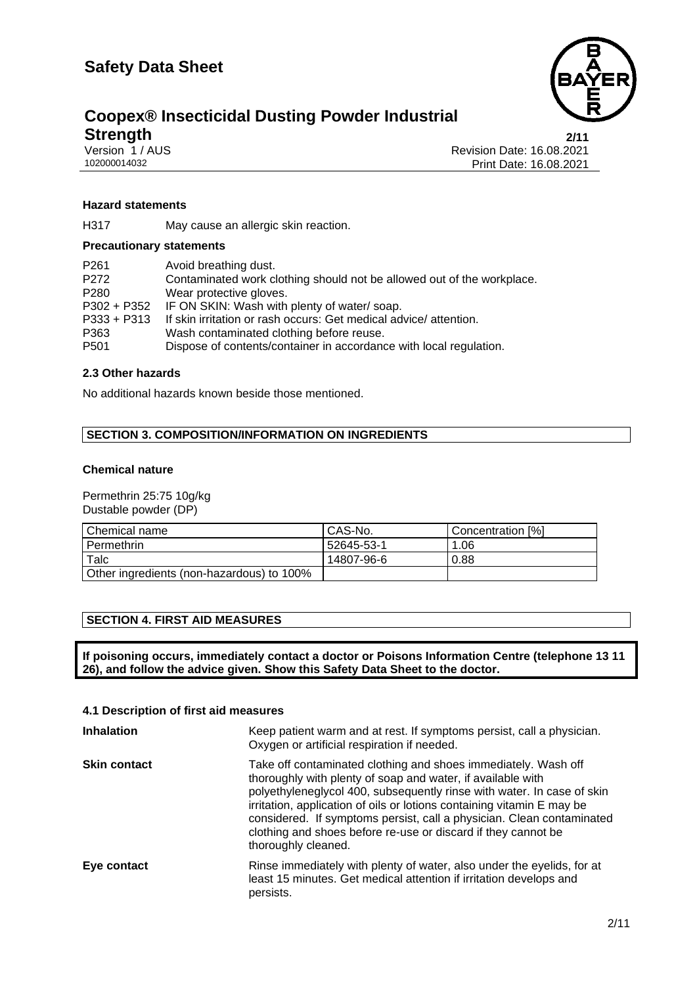

### **Coopex® Insecticidal Dusting Powder Industrial Strength** 2/11<br>
Version 1 / AUS Revision Date: 16.08.2021<br>
102000014032 Print Date: 16.08.2021

Revision Date: 16.08.2021 Print Date: 16.08.2021

#### **Hazard statements**

H317 May cause an allergic skin reaction.

#### **Precautionary statements**

| P <sub>261</sub> | Avoid breathing dust.                                                  |
|------------------|------------------------------------------------------------------------|
| P <sub>272</sub> | Contaminated work clothing should not be allowed out of the workplace. |
| P <sub>280</sub> | Wear protective gloves.                                                |
| P302 + P352      | IF ON SKIN: Wash with plenty of water/soap.                            |
| $P333 + P313$    | If skin irritation or rash occurs: Get medical advice/attention.       |
| P363             | Wash contaminated clothing before reuse.                               |
| P501             | Dispose of contents/container in accordance with local regulation.     |

#### **2.3 Other hazards**

No additional hazards known beside those mentioned.

#### **SECTION 3. COMPOSITION/INFORMATION ON INGREDIENTS**

#### **Chemical nature**

Permethrin 25:75 10g/kg Dustable powder (DP)

| Chemical name                             | CAS-No.    | Concentration [%] |
|-------------------------------------------|------------|-------------------|
| l Permethrin                              | 52645-53-1 | 1.06              |
| Talc                                      | 14807-96-6 | 0.88              |
| Other ingredients (non-hazardous) to 100% |            |                   |

#### **SECTION 4. FIRST AID MEASURES**

**If poisoning occurs, immediately contact a doctor or Poisons Information Centre (telephone 13 11 26), and follow the advice given. Show this Safety Data Sheet to the doctor.**

#### **4.1 Description of first aid measures**

| <b>Inhalation</b>   | Keep patient warm and at rest. If symptoms persist, call a physician.<br>Oxygen or artificial respiration if needed.                                                                                                                                                                                                                                                                                                                               |
|---------------------|----------------------------------------------------------------------------------------------------------------------------------------------------------------------------------------------------------------------------------------------------------------------------------------------------------------------------------------------------------------------------------------------------------------------------------------------------|
| <b>Skin contact</b> | Take off contaminated clothing and shoes immediately. Wash off<br>thoroughly with plenty of soap and water, if available with<br>polyethyleneglycol 400, subsequently rinse with water. In case of skin<br>irritation, application of oils or lotions containing vitamin E may be<br>considered. If symptoms persist, call a physician. Clean contaminated<br>clothing and shoes before re-use or discard if they cannot be<br>thoroughly cleaned. |
| Eye contact         | Rinse immediately with plenty of water, also under the eyelids, for at<br>least 15 minutes. Get medical attention if irritation develops and<br>persists.                                                                                                                                                                                                                                                                                          |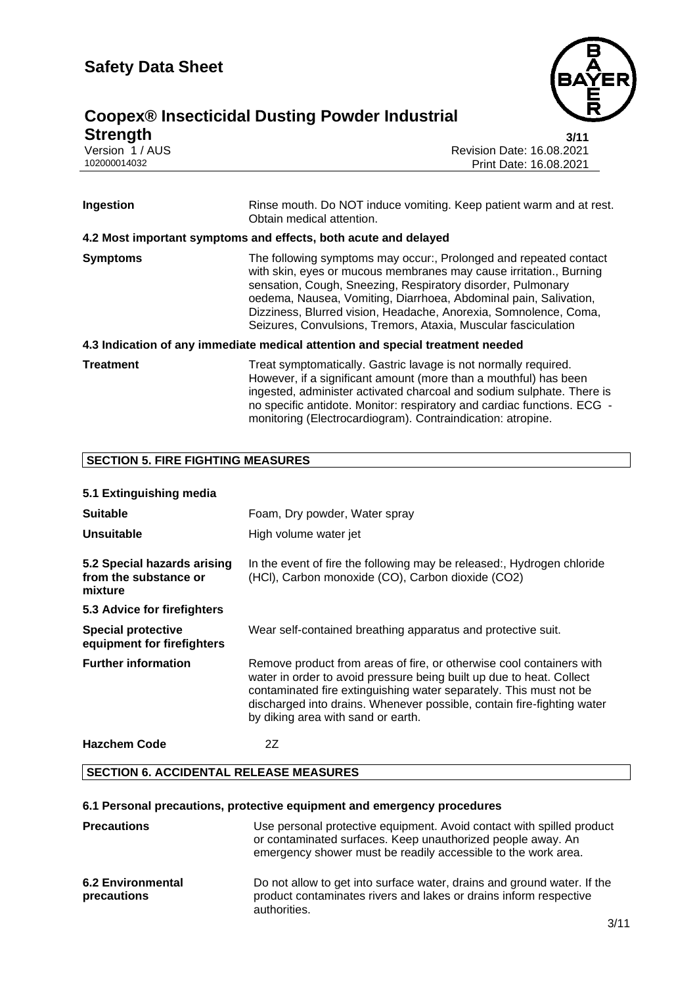

### **Coopex® Insecticidal Dusting Powder Industrial Strength** 3/11<br>
Version 1 / AUS Revision Date: 16.08.2021<br>
102000014032 Print Date: 16.08.2021

Revision Date: 16.08.2021 Print Date: 16.08.2021

| Ingestion        | Rinse mouth. Do NOT induce vomiting. Keep patient warm and at rest.<br>Obtain medical attention.                                                                                                                                                                                                                                                                                                                 |  |  |
|------------------|------------------------------------------------------------------------------------------------------------------------------------------------------------------------------------------------------------------------------------------------------------------------------------------------------------------------------------------------------------------------------------------------------------------|--|--|
|                  | 4.2 Most important symptoms and effects, both acute and delayed                                                                                                                                                                                                                                                                                                                                                  |  |  |
| <b>Symptoms</b>  | The following symptoms may occur:, Prolonged and repeated contact<br>with skin, eyes or mucous membranes may cause irritation., Burning<br>sensation, Cough, Sneezing, Respiratory disorder, Pulmonary<br>oedema, Nausea, Vomiting, Diarrhoea, Abdominal pain, Salivation,<br>Dizziness, Blurred vision, Headache, Anorexia, Somnolence, Coma,<br>Seizures, Convulsions, Tremors, Ataxia, Muscular fasciculation |  |  |
|                  | 4.3 Indication of any immediate medical attention and special treatment needed                                                                                                                                                                                                                                                                                                                                   |  |  |
| <b>Treatment</b> | Treat symptomatically. Gastric lavage is not normally required.<br>However, if a significant amount (more than a mouthful) has been<br>ingested, administer activated charcoal and sodium sulphate. There is<br>no specific antidote. Monitor: respiratory and cardiac functions. ECG -<br>monitoring (Electrocardiogram). Contraindication: atropine.                                                           |  |  |

#### **SECTION 5. FIRE FIGHTING MEASURES**

#### **5.1 Extinguishing media**

| <b>Suitable</b><br>Unsuitable                                   | Foam, Dry powder, Water spray<br>High volume water jet                                                                                                                                                                                                                                                                             |  |  |  |
|-----------------------------------------------------------------|------------------------------------------------------------------------------------------------------------------------------------------------------------------------------------------------------------------------------------------------------------------------------------------------------------------------------------|--|--|--|
| 5.2 Special hazards arising<br>from the substance or<br>mixture | In the event of fire the following may be released:, Hydrogen chloride<br>(HCl), Carbon monoxide (CO), Carbon dioxide (CO2)                                                                                                                                                                                                        |  |  |  |
| 5.3 Advice for firefighters                                     |                                                                                                                                                                                                                                                                                                                                    |  |  |  |
| <b>Special protective</b><br>equipment for firefighters         | Wear self-contained breathing apparatus and protective suit.                                                                                                                                                                                                                                                                       |  |  |  |
| <b>Further information</b>                                      | Remove product from areas of fire, or otherwise cool containers with<br>water in order to avoid pressure being built up due to heat. Collect<br>contaminated fire extinguishing water separately. This must not be<br>discharged into drains. Whenever possible, contain fire-fighting water<br>by diking area with sand or earth. |  |  |  |
| <b>Hazchem Code</b>                                             | 2Z                                                                                                                                                                                                                                                                                                                                 |  |  |  |

#### **SECTION 6. ACCIDENTAL RELEASE MEASURES**

#### **6.1 Personal precautions, protective equipment and emergency procedures**

| <b>Precautions</b>                      | Use personal protective equipment. Avoid contact with spilled product<br>or contaminated surfaces. Keep unauthorized people away. An<br>emergency shower must be readily accessible to the work area. |
|-----------------------------------------|-------------------------------------------------------------------------------------------------------------------------------------------------------------------------------------------------------|
| <b>6.2 Environmental</b><br>precautions | Do not allow to get into surface water, drains and ground water. If the<br>product contaminates rivers and lakes or drains inform respective<br>authorities.                                          |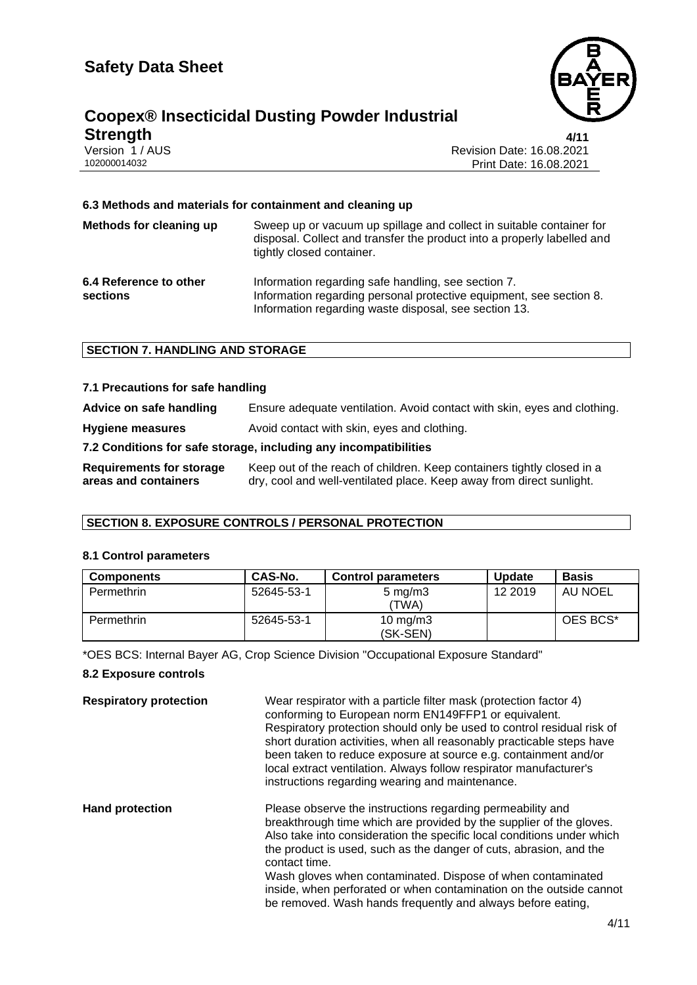

### **Coopex® Insecticidal Dusting Powder Industrial Strength** 4/11<br>
Version 1 / AUS Revision Date: 16.08.2021<br>
102000014032 Print Date: 16.08.2021

Revision Date: 16.08.2021 Print Date: 16.08.2021

#### **6.3 Methods and materials for containment and cleaning up**

| Methods for cleaning up            | Sweep up or vacuum up spillage and collect in suitable container for<br>disposal. Collect and transfer the product into a properly labelled and<br>tightly closed container.        |
|------------------------------------|-------------------------------------------------------------------------------------------------------------------------------------------------------------------------------------|
| 6.4 Reference to other<br>sections | Information regarding safe handling, see section 7.<br>Information regarding personal protective equipment, see section 8.<br>Information regarding waste disposal, see section 13. |

#### **SECTION 7. HANDLING AND STORAGE**

| 7.1 Precautions for safe handling                |                                                                                                                                                |  |  |
|--------------------------------------------------|------------------------------------------------------------------------------------------------------------------------------------------------|--|--|
| Advice on safe handling                          | Ensure adequate ventilation. Avoid contact with skin, eyes and clothing.                                                                       |  |  |
| <b>Hygiene measures</b>                          | Avoid contact with skin, eyes and clothing.                                                                                                    |  |  |
|                                                  | 7.2 Conditions for safe storage, including any incompatibilities                                                                               |  |  |
| Requirements for storage<br>areas and containers | Keep out of the reach of children. Keep containers tightly closed in a<br>dry, cool and well-ventilated place. Keep away from direct sunlight. |  |  |

#### **SECTION 8. EXPOSURE CONTROLS / PERSONAL PROTECTION**

#### **8.1 Control parameters**

| <b>Components</b> | CAS-No.    | <b>Control parameters</b>   | <b>Update</b> | <b>Basis</b> |
|-------------------|------------|-----------------------------|---------------|--------------|
| Permethrin        | 52645-53-1 | $5 \text{ mg/m}$ 3<br>'TWA) | 12 2019       | AU NOEL      |
| Permethrin        | 52645-53-1 | 10 mg/m $3$<br>(SK-SEN)     |               | OES BCS*     |

\*OES BCS: Internal Bayer AG, Crop Science Division "Occupational Exposure Standard"

#### **8.2 Exposure controls**

| <b>Respiratory protection</b> | Wear respirator with a particle filter mask (protection factor 4)<br>conforming to European norm EN149FFP1 or equivalent.<br>Respiratory protection should only be used to control residual risk of<br>short duration activities, when all reasonably practicable steps have<br>been taken to reduce exposure at source e.g. containment and/or<br>local extract ventilation. Always follow respirator manufacturer's<br>instructions regarding wearing and maintenance.                                |
|-------------------------------|---------------------------------------------------------------------------------------------------------------------------------------------------------------------------------------------------------------------------------------------------------------------------------------------------------------------------------------------------------------------------------------------------------------------------------------------------------------------------------------------------------|
| <b>Hand protection</b>        | Please observe the instructions regarding permeability and<br>breakthrough time which are provided by the supplier of the gloves.<br>Also take into consideration the specific local conditions under which<br>the product is used, such as the danger of cuts, abrasion, and the<br>contact time.<br>Wash gloves when contaminated. Dispose of when contaminated<br>inside, when perforated or when contamination on the outside cannot<br>be removed. Wash hands frequently and always before eating, |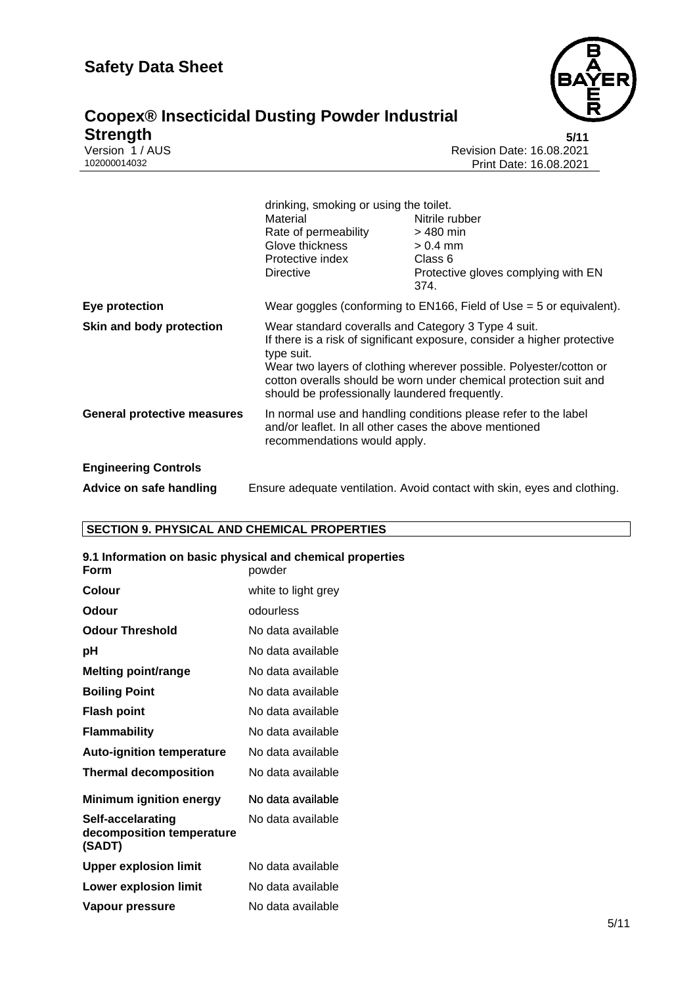

# **Coopex® Insecticidal Dusting Powder Industrial Strength** 5/11<br>
Version 1 / AUS Revision Date: 16.08.2021<br>
102000014032 Print Date: 16.08.2021

Revision Date: 16.08.2021 Print Date: 16.08.2021

|                                    | drinking, smoking or using the toilet.<br>Material<br>Rate of permeability<br>Glove thickness<br>Protective index<br><b>Directive</b>                                                                                                                                                                                                      | Nitrile rubber<br>$>$ 480 min<br>$> 0.4$ mm<br>Class 6<br>Protective gloves complying with EN<br>374. |  |
|------------------------------------|--------------------------------------------------------------------------------------------------------------------------------------------------------------------------------------------------------------------------------------------------------------------------------------------------------------------------------------------|-------------------------------------------------------------------------------------------------------|--|
| Eye protection                     | Wear goggles (conforming to $EN166$ , Field of Use = 5 or equivalent).                                                                                                                                                                                                                                                                     |                                                                                                       |  |
| Skin and body protection           | Wear standard coveralls and Category 3 Type 4 suit.<br>If there is a risk of significant exposure, consider a higher protective<br>type suit.<br>Wear two layers of clothing wherever possible. Polyester/cotton or<br>cotton overalls should be worn under chemical protection suit and<br>should be professionally laundered frequently. |                                                                                                       |  |
| <b>General protective measures</b> | In normal use and handling conditions please refer to the label<br>and/or leaflet. In all other cases the above mentioned<br>recommendations would apply.                                                                                                                                                                                  |                                                                                                       |  |
| <b>Engineering Controls</b>        |                                                                                                                                                                                                                                                                                                                                            |                                                                                                       |  |
| Advice on safe handling            | Ensure adequate ventilation. Avoid contact with skin, eyes and clothing.                                                                                                                                                                                                                                                                   |                                                                                                       |  |

#### **SECTION 9. PHYSICAL AND CHEMICAL PROPERTIES**

| 9.1 Information on basic physical and chemical properties<br>Form | powder              |
|-------------------------------------------------------------------|---------------------|
| Colour                                                            | white to light grey |
| Odour                                                             | odourless           |
| <b>Odour Threshold</b>                                            | No data available   |
| рH                                                                | No data available   |
| Melting point/range                                               | No data available   |
| <b>Boiling Point</b>                                              | No data available   |
| <b>Flash point</b>                                                | No data available   |
| <b>Flammability</b>                                               | No data available   |
| <b>Auto-ignition temperature</b>                                  | No data available   |
| <b>Thermal decomposition</b>                                      | No data available   |
| <b>Minimum ignition energy</b>                                    | No data available   |
| Self-accelarating<br>decomposition temperature<br>(SADT)          | No data available   |
| <b>Upper explosion limit</b>                                      | No data available   |
| <b>Lower explosion limit</b>                                      | No data available   |
| Vapour pressure                                                   | No data available   |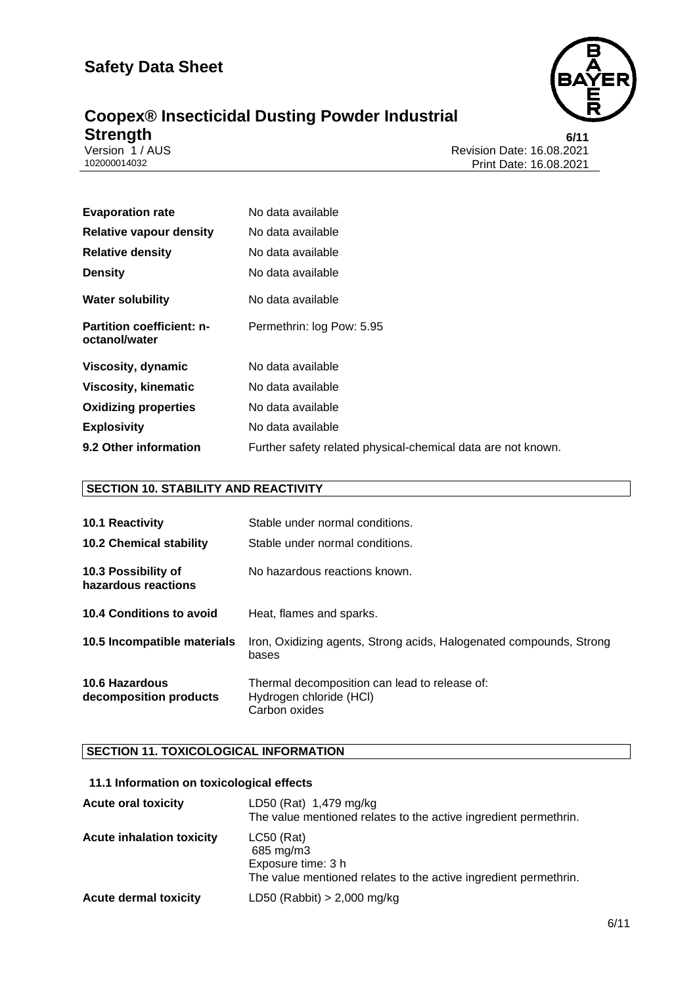

## **Coopex® Insecticidal Dusting Powder Industrial Strength** 6/11<br>
Version 1 / AUS Revision Date: 16.08.2021<br>
102000014032 Print Date: 16.08.2021

Revision Date: 16.08.2021 Print Date: 16.08.2021

| <b>Evaporation rate</b>                           | No data available                                            |
|---------------------------------------------------|--------------------------------------------------------------|
| <b>Relative vapour density</b>                    | No data available                                            |
| <b>Relative density</b>                           | No data available                                            |
| <b>Density</b>                                    | No data available                                            |
| <b>Water solubility</b>                           | No data available                                            |
| <b>Partition coefficient: n-</b><br>octanol/water | Permethrin: log Pow: 5.95                                    |
| Viscosity, dynamic                                | No data available                                            |
| <b>Viscosity, kinematic</b>                       | No data available                                            |
| <b>Oxidizing properties</b>                       | No data available                                            |
| <b>Explosivity</b>                                | No data available                                            |
| 9.2 Other information                             | Further safety related physical-chemical data are not known. |

#### **SECTION 10. STABILITY AND REACTIVITY**

| <b>10.1 Reactivity</b><br><b>10.2 Chemical stability</b> | Stable under normal conditions.<br>Stable under normal conditions.                        |  |
|----------------------------------------------------------|-------------------------------------------------------------------------------------------|--|
| 10.3 Possibility of<br>hazardous reactions               | No hazardous reactions known.                                                             |  |
| 10.4 Conditions to avoid                                 | Heat, flames and sparks.                                                                  |  |
| 10.5 Incompatible materials                              | Iron, Oxidizing agents, Strong acids, Halogenated compounds, Strong<br>bases              |  |
| 10.6 Hazardous<br>decomposition products                 | Thermal decomposition can lead to release of:<br>Hydrogen chloride (HCI)<br>Carbon oxides |  |

#### **SECTION 11. TOXICOLOGICAL INFORMATION**

#### **11.1 Information on toxicological effects**

| <b>Acute oral toxicity</b>       | LD50 (Rat) 1,479 mg/kg<br>The value mentioned relates to the active ingredient permethrin.                          |
|----------------------------------|---------------------------------------------------------------------------------------------------------------------|
| <b>Acute inhalation toxicity</b> | $LC50$ (Rat)<br>685 mg/m3<br>Exposure time: 3 h<br>The value mentioned relates to the active ingredient permethrin. |
| <b>Acute dermal toxicity</b>     | LD50 (Rabbit) $> 2,000$ mg/kg                                                                                       |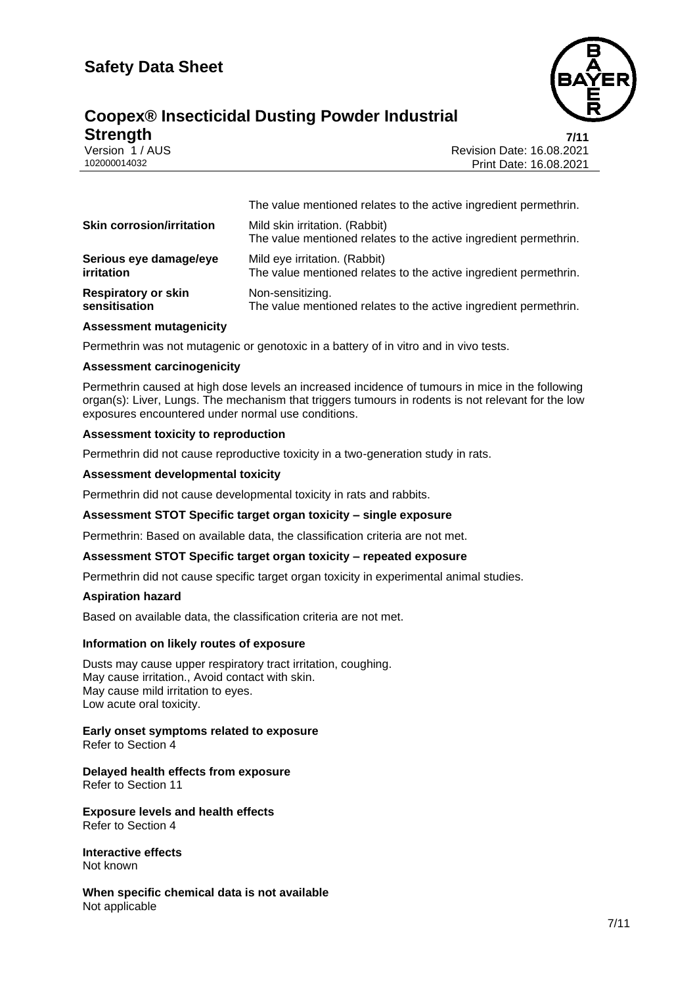### **Coopex® Insecticidal Dusting Powder Industrial Strength 7/11**

Version 1 / AUS<br>102000014032 Print Date: 16.08.2021<br>Print Date: 16.08.2021 Print Date: 16.08.2021

|                                  | The value mentioned relates to the active ingredient permethrin.                                   |  |
|----------------------------------|----------------------------------------------------------------------------------------------------|--|
| <b>Skin corrosion/irritation</b> | Mild skin irritation. (Rabbit)<br>The value mentioned relates to the active ingredient permethrin. |  |
| Serious eye damage/eye           | Mild eye irritation. (Rabbit)                                                                      |  |
| irritation                       | The value mentioned relates to the active ingredient permethrin.                                   |  |
| <b>Respiratory or skin</b>       | Non-sensitizing.                                                                                   |  |
| sensitisation                    | The value mentioned relates to the active ingredient permethrin.                                   |  |

#### **Assessment mutagenicity**

Permethrin was not mutagenic or genotoxic in a battery of in vitro and in vivo tests.

#### **Assessment carcinogenicity**

Permethrin caused at high dose levels an increased incidence of tumours in mice in the following organ(s): Liver, Lungs. The mechanism that triggers tumours in rodents is not relevant for the low exposures encountered under normal use conditions.

#### **Assessment toxicity to reproduction**

Permethrin did not cause reproductive toxicity in a two-generation study in rats.

#### **Assessment developmental toxicity**

Permethrin did not cause developmental toxicity in rats and rabbits.

#### **Assessment STOT Specific target organ toxicity – single exposure**

Permethrin: Based on available data, the classification criteria are not met.

#### **Assessment STOT Specific target organ toxicity – repeated exposure**

Permethrin did not cause specific target organ toxicity in experimental animal studies.

#### **Aspiration hazard**

Based on available data, the classification criteria are not met.

#### **Information on likely routes of exposure**

Dusts may cause upper respiratory tract irritation, coughing. May cause irritation., Avoid contact with skin. May cause mild irritation to eyes. Low acute oral toxicity.

#### **Early onset symptoms related to exposure** Refer to Section 4

**Delayed health effects from exposure** Refer to Section 11

**Exposure levels and health effects** Refer to Section 4

**Interactive effects** Not known

**When specific chemical data is not available** Not applicable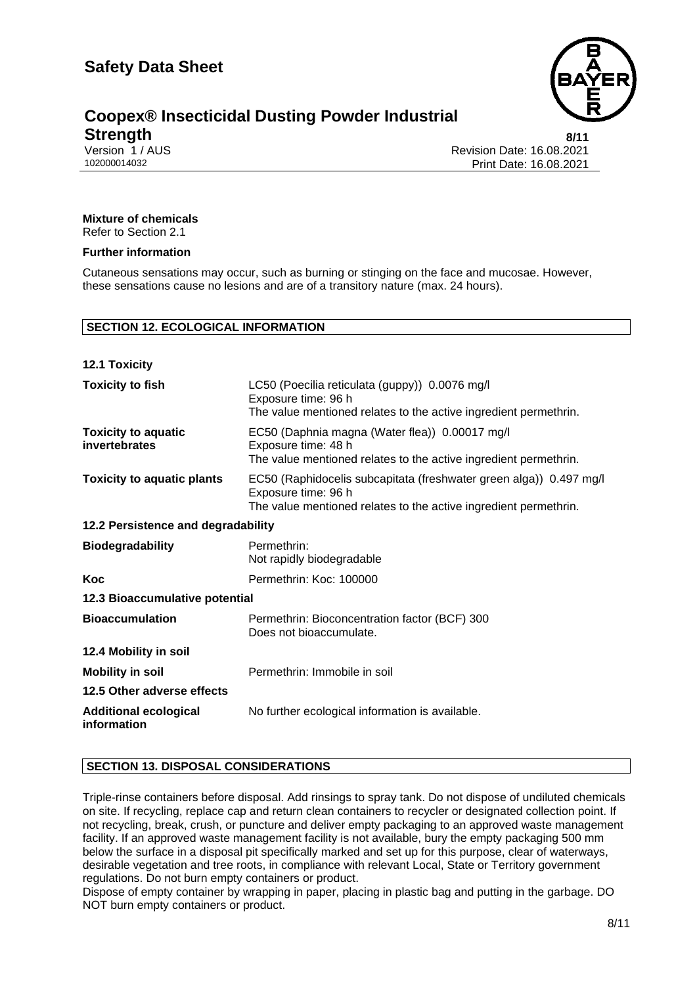

#### **Coopex® Insecticidal Dusting Powder Industrial Strength 8/11**

Version 1 / AUS<br>102000014032 Print Date: 16.08.2021<br>Print Date: 16.08.2021 Print Date: 16.08.2021

#### **Mixture of chemicals**

Refer to Section 2.1

#### **Further information**

Cutaneous sensations may occur, such as burning or stinging on the face and mucosae. However, these sensations cause no lesions and are of a transitory nature (max. 24 hours).

#### **SECTION 12. ECOLOGICAL INFORMATION**

| <b>12.1 Toxicity</b>                        |                                                                                                                                                               |  |
|---------------------------------------------|---------------------------------------------------------------------------------------------------------------------------------------------------------------|--|
| <b>Toxicity to fish</b>                     | LC50 (Poecilia reticulata (guppy)) 0.0076 mg/l<br>Exposure time: 96 h<br>The value mentioned relates to the active ingredient permethrin.                     |  |
| <b>Toxicity to aquatic</b><br>invertebrates | EC50 (Daphnia magna (Water flea)) 0.00017 mg/l<br>Exposure time: 48 h<br>The value mentioned relates to the active ingredient permethrin.                     |  |
| <b>Toxicity to aquatic plants</b>           | EC50 (Raphidocelis subcapitata (freshwater green alga)) 0.497 mg/l<br>Exposure time: 96 h<br>The value mentioned relates to the active ingredient permethrin. |  |
| 12.2 Persistence and degradability          |                                                                                                                                                               |  |
| <b>Biodegradability</b>                     | Permethrin:<br>Not rapidly biodegradable                                                                                                                      |  |
| Koc                                         | Permethrin: Koc: 100000                                                                                                                                       |  |
| 12.3 Bioaccumulative potential              |                                                                                                                                                               |  |
| <b>Bioaccumulation</b>                      | Permethrin: Bioconcentration factor (BCF) 300<br>Does not bioaccumulate.                                                                                      |  |
| 12.4 Mobility in soil                       |                                                                                                                                                               |  |
| <b>Mobility in soil</b>                     | Permethrin: Immobile in soil                                                                                                                                  |  |
| 12.5 Other adverse effects                  |                                                                                                                                                               |  |
| <b>Additional ecological</b><br>information | No further ecological information is available.                                                                                                               |  |

#### **SECTION 13. DISPOSAL CONSIDERATIONS**

Triple-rinse containers before disposal. Add rinsings to spray tank. Do not dispose of undiluted chemicals on site. If recycling, replace cap and return clean containers to recycler or designated collection point. If not recycling, break, crush, or puncture and deliver empty packaging to an approved waste management facility. If an approved waste management facility is not available, bury the empty packaging 500 mm below the surface in a disposal pit specifically marked and set up for this purpose, clear of waterways, desirable vegetation and tree roots, in compliance with relevant Local, State or Territory government regulations. Do not burn empty containers or product.

Dispose of empty container by wrapping in paper, placing in plastic bag and putting in the garbage. DO NOT burn empty containers or product.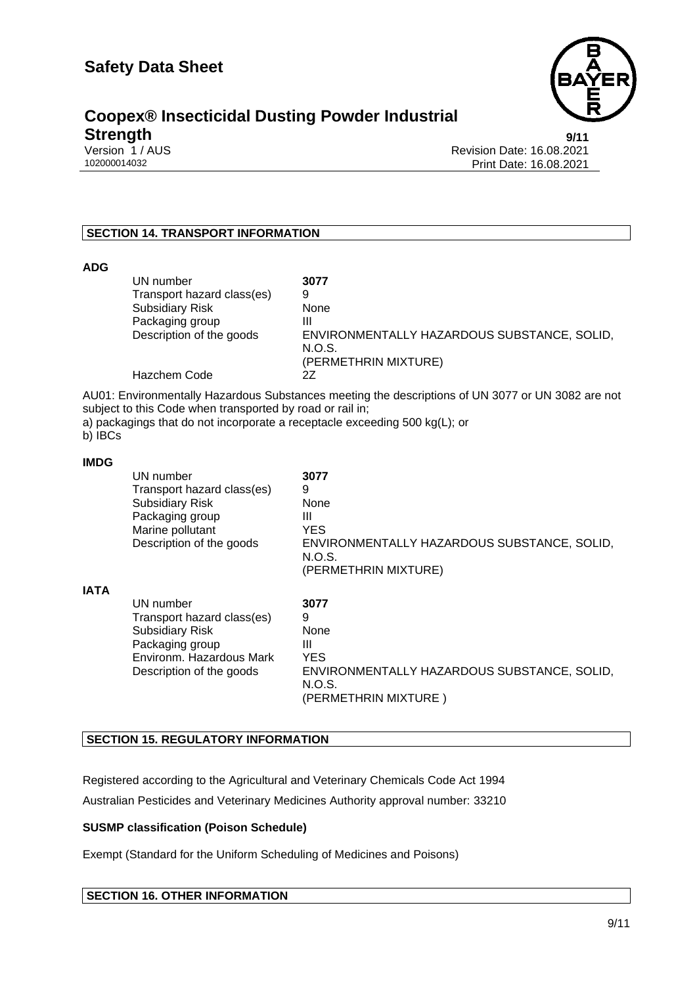

### **Coopex® Insecticidal Dusting Powder Industrial Strength** 9/11<br>
Version 1 / AUS Revision Date: 16.08.2021<br>
102000014032 Print Date: 16.08.2021

Revision Date: 16.08.2021 Print Date: 16.08.2021

#### **SECTION 14. TRANSPORT INFORMATION**

| <b>ADG</b>  |                                                                                                                                              |                                                                                                                                                                                 |
|-------------|----------------------------------------------------------------------------------------------------------------------------------------------|---------------------------------------------------------------------------------------------------------------------------------------------------------------------------------|
|             | UN number<br>Transport hazard class(es)<br><b>Subsidiary Risk</b><br>Packaging group<br>Description of the goods<br><b>Hazchem Code</b>      | 3077<br>9<br>None<br>Ш<br>ENVIRONMENTALLY HAZARDOUS SUBSTANCE, SOLID,<br>N.O.S.<br>(PERMETHRIN MIXTURE)<br>2Z                                                                   |
| b) IBCs     | subject to this Code when transported by road or rail in;                                                                                    | AU01: Environmentally Hazardous Substances meeting the descriptions of UN 3077 or UN 3082 are not<br>a) packagings that do not incorporate a receptacle exceeding 500 kg(L); or |
| <b>IMDG</b> | UN number<br>Transport hazard class(es)<br><b>Subsidiary Risk</b><br>Packaging group<br>Marine pollutant<br>Description of the goods         | 3077<br>9<br>None<br>Ш<br><b>YES</b><br>ENVIRONMENTALLY HAZARDOUS SUBSTANCE, SOLID,<br>N.O.S.<br>(PERMETHRIN MIXTURE)                                                           |
| <b>IATA</b> | UN number<br>Transport hazard class(es)<br><b>Subsidiary Risk</b><br>Packaging group<br>Environm. Hazardous Mark<br>Description of the goods | 3077<br>9<br>None<br>Ш<br><b>YES</b><br>ENVIRONMENTALLY HAZARDOUS SUBSTANCE, SOLID,<br>N.O.S.<br>(PERMETHRIN MIXTURE)                                                           |

#### **SECTION 15. REGULATORY INFORMATION**

Registered according to the Agricultural and Veterinary Chemicals Code Act 1994 Australian Pesticides and Veterinary Medicines Authority approval number: 33210

#### **SUSMP classification (Poison Schedule)**

Exempt (Standard for the Uniform Scheduling of Medicines and Poisons)

#### **SECTION 16. OTHER INFORMATION**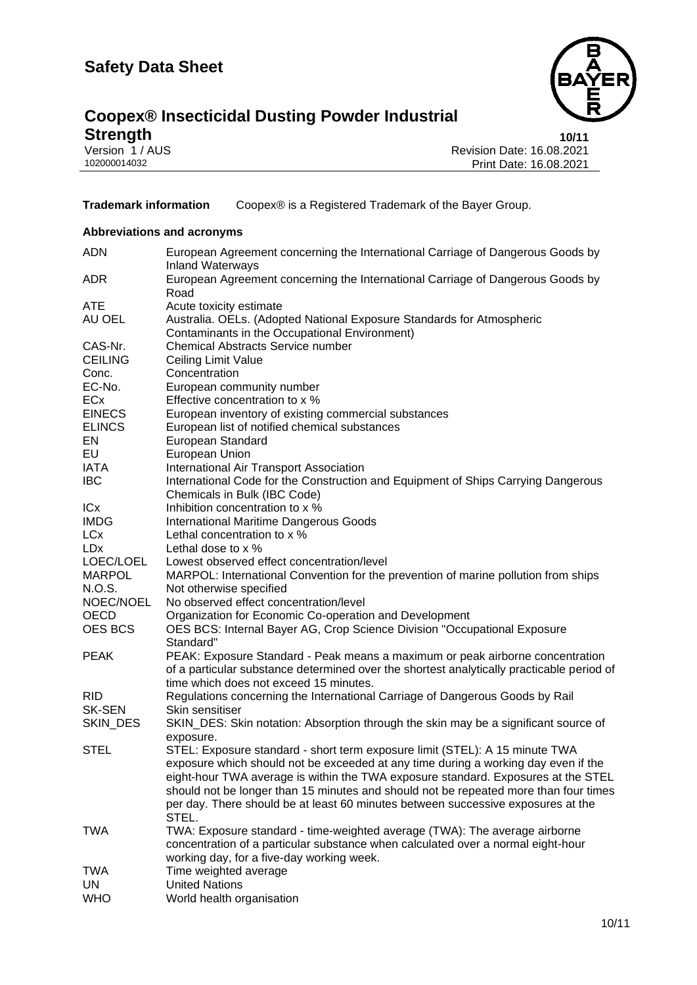

# **Coopex® Insecticidal Dusting Powder Industrial Strength** 10/11<br>
Version 1/AUS Revision Date: 16.08.2021<br>
102000014032 Print Date: 16.08.2021

Revision Date: 16.08.2021 Print Date: 16.08.2021

**Trademark information** Coopex® is a Registered Trademark of the Bayer Group.

#### **Abbreviations and acronyms**

| <b>ADN</b>                 | European Agreement concerning the International Carriage of Dangerous Goods by<br><b>Inland Waterways</b>         |
|----------------------------|-------------------------------------------------------------------------------------------------------------------|
| <b>ADR</b>                 | European Agreement concerning the International Carriage of Dangerous Goods by<br>Road                            |
| <b>ATE</b>                 | Acute toxicity estimate                                                                                           |
| AU OEL                     | Australia. OELs. (Adopted National Exposure Standards for Atmospheric                                             |
|                            | Contaminants in the Occupational Environment)                                                                     |
| CAS-Nr.                    | <b>Chemical Abstracts Service number</b>                                                                          |
| <b>CEILING</b>             | Ceiling Limit Value                                                                                               |
| Conc.                      | Concentration                                                                                                     |
| EC-No.                     | European community number                                                                                         |
| ECx                        | Effective concentration to x %                                                                                    |
| <b>EINECS</b>              |                                                                                                                   |
|                            | European inventory of existing commercial substances                                                              |
| <b>ELINCS</b><br><b>EN</b> | European list of notified chemical substances                                                                     |
| EU                         | European Standard                                                                                                 |
|                            | European Union                                                                                                    |
| <b>IATA</b>                | International Air Transport Association                                                                           |
| <b>IBC</b>                 | International Code for the Construction and Equipment of Ships Carrying Dangerous<br>Chemicals in Bulk (IBC Code) |
| ICx                        | Inhibition concentration to x %                                                                                   |
| <b>IMDG</b>                | <b>International Maritime Dangerous Goods</b>                                                                     |
| <b>LCx</b>                 | Lethal concentration to x %                                                                                       |
| <b>LDx</b>                 | Lethal dose to x %                                                                                                |
| LOEC/LOEL                  | Lowest observed effect concentration/level                                                                        |
| <b>MARPOL</b>              | MARPOL: International Convention for the prevention of marine pollution from ships                                |
| N.O.S.                     | Not otherwise specified                                                                                           |
| NOEC/NOEL                  | No observed effect concentration/level                                                                            |
| <b>OECD</b>                | Organization for Economic Co-operation and Development                                                            |
| <b>OES BCS</b>             | OES BCS: Internal Bayer AG, Crop Science Division "Occupational Exposure<br>Standard"                             |
| <b>PEAK</b>                | PEAK: Exposure Standard - Peak means a maximum or peak airborne concentration                                     |
|                            | of a particular substance determined over the shortest analytically practicable period of                         |
|                            | time which does not exceed 15 minutes.                                                                            |
| <b>RID</b>                 | Regulations concerning the International Carriage of Dangerous Goods by Rail                                      |
| <b>SK-SEN</b>              | Skin sensitiser                                                                                                   |
| SKIN_DES                   | SKIN_DES: Skin notation: Absorption through the skin may be a significant source of                               |
|                            | exposure.                                                                                                         |
| <b>STEL</b>                | STEL: Exposure standard - short term exposure limit (STEL): A 15 minute TWA                                       |
|                            | exposure which should not be exceeded at any time during a working day even if the                                |
|                            | eight-hour TWA average is within the TWA exposure standard. Exposures at the STEL                                 |
|                            | should not be longer than 15 minutes and should not be repeated more than four times                              |
|                            | per day. There should be at least 60 minutes between successive exposures at the<br>STEL.                         |
| <b>TWA</b>                 | TWA: Exposure standard - time-weighted average (TWA): The average airborne                                        |
|                            | concentration of a particular substance when calculated over a normal eight-hour                                  |
|                            | working day, for a five-day working week.                                                                         |
| TWA                        | Time weighted average                                                                                             |
| UN                         | <b>United Nations</b>                                                                                             |
| <b>WHO</b>                 | World health organisation                                                                                         |